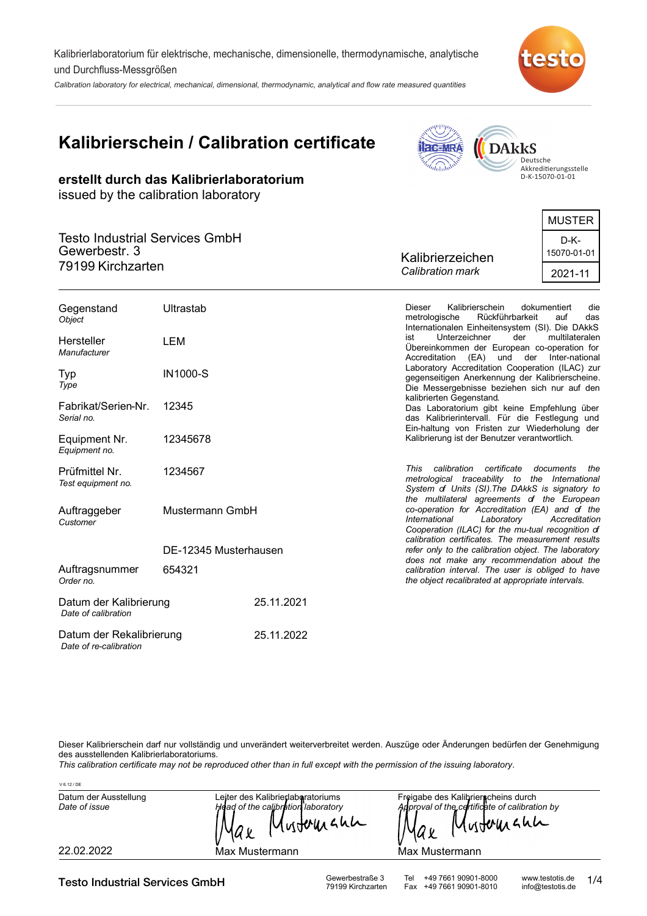Kalibrierlaboratorium für elektrische, mechanische, dimensionelle, thermodynamische, analytische und Durchfluss-Messgrößen

Calibration laboratory for electrical, mechanical, dimensional, thermodynamic, analytical and flow rate measured quantities

# **Kalibrierschein / Calibration certificate**

**erstellt durch das Kalibrierlaboratorium**

issued by the calibration laboratory



Deutsche<br>Akkreditierungsstelle<br>D-K-15070-01-01

|                                                                             |                  | MUSTER              |
|-----------------------------------------------------------------------------|------------------|---------------------|
| <b>Testo Industrial Services GmbH</b><br>Gewerbestr. 3<br>79199 Kirchzarten | Kalibrierzeichen | D-K-<br>15070-01-01 |
|                                                                             | Calibration mark | 2021-11             |
|                                                                             |                  |                     |

| Gegenstand<br>Object                          | Ultrastab             |            | Kalibrierschein<br>dokumentiert<br><b>Dieser</b><br>die<br>Rückführbarkeit<br>metrologische<br>auf<br>das<br>Internationalen Einheitensystem (SI). Die DAkkS                                             |
|-----------------------------------------------|-----------------------|------------|----------------------------------------------------------------------------------------------------------------------------------------------------------------------------------------------------------|
| Hersteller<br>Manufacturer                    | LEM                   |            | Unterzeichner<br>der<br>multilateralen<br>ist<br>Übereinkommen der European co-operation for<br>(EA) und der Inter-national<br>Accreditation                                                             |
| Typ<br>Type                                   | <b>IN1000-S</b>       |            | Laboratory Accreditation Cooperation (ILAC) zur<br>gegenseitigen Anerkennung der Kalibrierscheine.<br>Die Messergebnisse beziehen sich nur auf den                                                       |
| Fabrikat/Serien-Nr.<br>Serial no.             | 12345                 |            | kalibrierten Gegenstand.<br>Das Laboratorium gibt keine Empfehlung über<br>das Kalibrierintervall. Für die Festlegung und<br>Ein-haltung von Fristen zur Wiederholung der                                |
| Equipment Nr.<br>Equipment no.                | 12345678              |            | Kalibrierung ist der Benutzer verantwortlich.                                                                                                                                                            |
| Prüfmittel Nr.<br>Test equipment no.          | 1234567               |            | calibration certificate<br>This<br>documents<br>the<br>metrological traceability to the International<br>System of Units (SI). The DAkkS is signatory to<br>the multilateral agreements of the European  |
| Auftraggeber<br>Customer                      | Mustermann GmbH       |            | co-operation for Accreditation (EA) and of the<br>International<br>Laboratory<br>Accreditation<br>Cooperation (ILAC) for the mu-tual recognition of<br>calibration certificates. The measurement results |
|                                               | DE-12345 Musterhausen |            | refer only to the calibration object. The laboratory                                                                                                                                                     |
| Auftragsnummer<br>Order no.                   | 654321                |            | does not make any recommendation about the<br>calibration interval. The user is obliged to have<br>the object recalibrated at appropriate intervals.                                                     |
| Datum der Kalibrierung<br>Date of calibration |                       | 25.11.2021 |                                                                                                                                                                                                          |
| Datum der Rekalibrierung                      |                       | 25.11.2022 |                                                                                                                                                                                                          |

Dieser Kalibrierschein darf nur vollständig und unverändert weiterverbreitet werden. Auszüge oder Änderungen bedürfen der Genehmigung des ausstellenden Kalibrierlaboratoriums.

*This calibration certificate may not be reproduced other than in full except with the permission of the issuing laboratory.*

| V 6.12 / DE                            |                                                                                       |                                                                                                             |
|----------------------------------------|---------------------------------------------------------------------------------------|-------------------------------------------------------------------------------------------------------------|
| Datum der Ausstellung<br>Date of issue | Leiter des Kalibrierlaberatoriums<br>Head of the calibration laboratory<br>Mustermann | Freigabe des Kalibrierscheins durch<br>Approval of the certificate of calibration by<br>Mustermann<br>IYA x |
| 22.02.2022                             | Max Mustermann                                                                        | Max Mustermann                                                                                              |

Testo Industrial Services GmbH Gewerbestraße 3 Tel +49 7661 90901-8000 www.testotis.de<br>79199 Kirchzarten Fax +49 7661 90901-8010 info@testotis.de

 *Date of re-calibration*

Fax +49 7661 90901-8010

1/4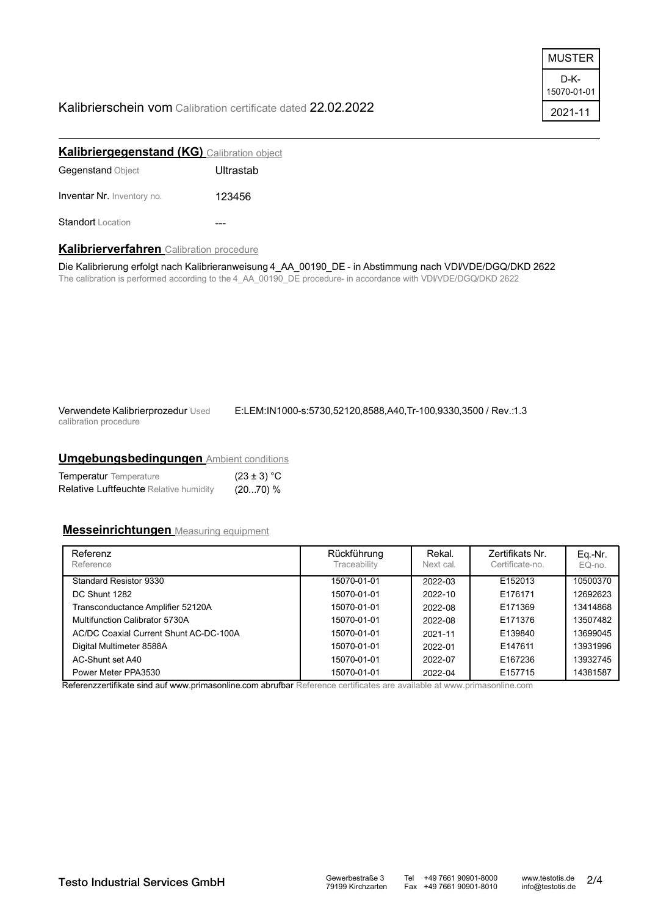#### Kalibrierschein vom Calibration certificate dated 22.02.2022

| MUSTER              |
|---------------------|
| D-K-<br>15070-01-01 |
| 2021-11             |

| <b>Kalibriergegenstand (KG)</b> Calibration object |           |  |  |
|----------------------------------------------------|-----------|--|--|
| <b>Gegenstand Object</b>                           | Ultrastab |  |  |
| <b>Inventar Nr.</b> Inventory no.                  | 123456    |  |  |
| Standort Location                                  |           |  |  |

#### **Kalibrierverfahren** Calibration procedure

Die Kalibrierung erfolgt nach Kalibrieranweisung 4\_AA\_00190\_DE - in Abstimmung nach VDI/VDE/DGQ/DKD 2622 The calibration is performed according to the 4\_AA\_00190\_DE procedure- in accordance with VDI/VDE/DGQ/DKD 2622

Verwendete Kalibrierprozedur Used calibration procedure

E:LEM:IN1000-s:5730,52120,8588,A40,Tr-100,9330,3500 / Rev.:1.3

#### **Umgebungsbedingungen** Ambient conditions

| <b>Temperatur</b> Temperature                 | $(23 \pm 3) °C$ |
|-----------------------------------------------|-----------------|
| <b>Relative Luftfeuchte Relative humidity</b> | (2070) %        |

#### **Messeinrichtungen** Measuring equipment

| Referenz<br>Reference                  | Rückführung<br>Traceability | Rekal.<br>Next cal. | Zertifikats Nr.<br>Certificate-no. | Eq.-Nr.<br>EQ-no. |
|----------------------------------------|-----------------------------|---------------------|------------------------------------|-------------------|
| Standard Resistor 9330                 | 15070-01-01                 | 2022-03             | E152013                            | 10500370          |
| DC Shunt 1282                          | 15070-01-01                 | 2022-10             | E176171                            | 12692623          |
| Transconductance Amplifier 52120A      | 15070-01-01                 | 2022-08             | E171369                            | 13414868          |
| Multifunction Calibrator 5730A         | 15070-01-01                 | 2022-08             | E171376                            | 13507482          |
| AC/DC Coaxial Current Shunt AC-DC-100A | 15070-01-01                 | 2021-11             | E139840                            | 13699045          |
| Digital Multimeter 8588A               | 15070-01-01                 | 2022-01             | E147611                            | 13931996          |
| AC-Shunt set A40                       | 15070-01-01                 | 2022-07             | E167236                            | 13932745          |
| Power Meter PPA3530                    | 15070-01-01                 | 2022-04             | E157715                            | 14381587          |

Referenzzertifikate sind auf www.primasonline.com abrufbar Reference certificates are available at www.primasonline.com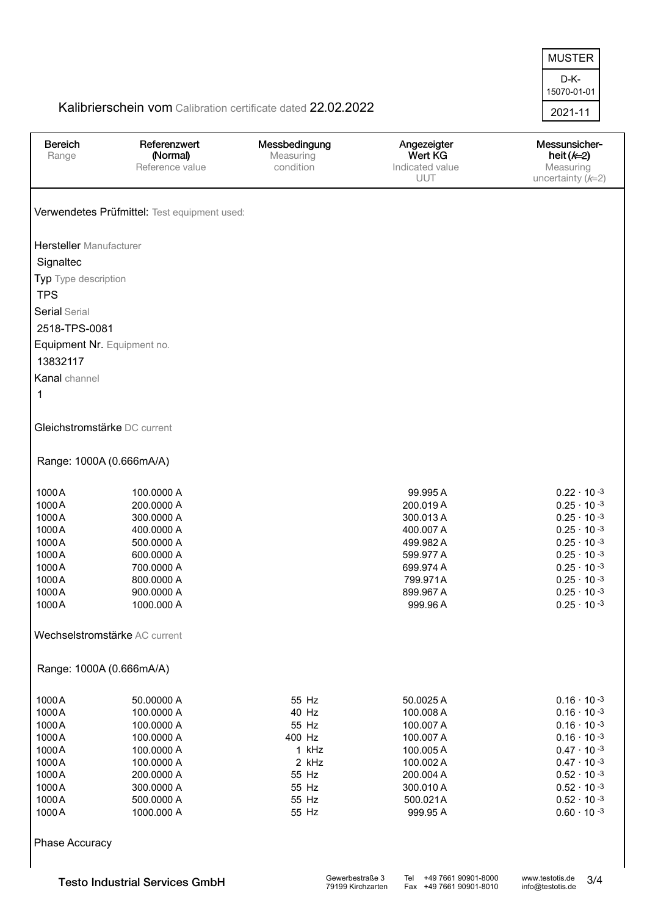D-K-2021-11 15070-01-01 MUSTER

## Kalibrierschein vom Calibration certificate dated 22.02.2022

| <b>Bereich</b>                 | Referenzwert                                 |                            |                        | Messunsicher-        |
|--------------------------------|----------------------------------------------|----------------------------|------------------------|----------------------|
| Range                          | (Normal)                                     | Messbedingung<br>Measuring | Angezeigter<br>Wert KG | heit $(k=2)$         |
|                                | Reference value                              | condition                  | Indicated value        | Measuring            |
|                                |                                              |                            | <b>UUT</b>             | uncertainty $(k=2)$  |
|                                |                                              |                            |                        |                      |
|                                | Verwendetes Prüfmittel: Test equipment used: |                            |                        |                      |
| <b>Hersteller</b> Manufacturer |                                              |                            |                        |                      |
| Signaltec                      |                                              |                            |                        |                      |
| Typ Type description           |                                              |                            |                        |                      |
| <b>TPS</b>                     |                                              |                            |                        |                      |
| <b>Serial Serial</b>           |                                              |                            |                        |                      |
| 2518-TPS-0081                  |                                              |                            |                        |                      |
|                                | Equipment Nr. Equipment no.                  |                            |                        |                      |
| 13832117                       |                                              |                            |                        |                      |
| Kanal channel                  |                                              |                            |                        |                      |
| 1                              |                                              |                            |                        |                      |
|                                | Gleichstromstärke DC current                 |                            |                        |                      |
|                                |                                              |                            |                        |                      |
|                                | Range: 1000A (0.666mA/A)                     |                            |                        |                      |
| 1000A                          | 100.0000 A                                   |                            | 99.995 A               | $0.22 \cdot 10^{-3}$ |
| 1000A                          | 200.0000 A                                   |                            | 200.019 A              | $0.25 \cdot 10^{-3}$ |
| 1000A                          | 300.0000 A                                   |                            | 300.013 A              | $0.25 \cdot 10^{-3}$ |
| 1000A                          | 400.0000 A                                   |                            | 400.007 A              | $0.25 \cdot 10^{-3}$ |
| 1000A                          | 500.0000 A                                   |                            | 499.982 A              | $0.25 \cdot 10^{-3}$ |
| 1000A                          | 600.0000 A                                   |                            | 599.977 A              | $0.25 \cdot 10^{-3}$ |
| 1000A                          | 700.0000 A                                   |                            | 699.974 A              | $0.25 \cdot 10^{-3}$ |
| 1000A                          | 800.0000 A                                   |                            | 799.971A               | $0.25 \cdot 10^{-3}$ |
| 1000A                          | 900.0000 A                                   |                            | 899.967 A              | $0.25 \cdot 10^{-3}$ |
| 1000A                          | 1000.000 A                                   |                            | 999.96 A               | $0.25 \cdot 10^{-3}$ |
|                                |                                              |                            |                        |                      |
|                                | Wechselstromstärke AC current                |                            |                        |                      |
|                                | Range: 1000A (0.666mA/A)                     |                            |                        |                      |
| 1000A                          | 50.00000 A                                   | 55 Hz                      | 50.0025 A              | $0.16 \cdot 10^{-3}$ |
| 1000A                          | 100.0000 A                                   | 40 Hz                      | 100.008 A              | $0.16 \cdot 10^{-3}$ |
| 1000A                          | 100.0000 A                                   | 55 Hz                      | 100.007 A              | $0.16 \cdot 10^{-3}$ |
| 1000A                          | 100.0000 A                                   | 400 Hz                     |                        | $0.16 \cdot 10^{-3}$ |
|                                |                                              |                            | 100.007 A              |                      |
| 1000A                          | 100.0000 A                                   | 1 kHz                      | 100.005 A              | $0.47 \cdot 10^{-3}$ |
| 1000A<br>1000A                 | 100.0000 A                                   | 2 kHz<br>55 Hz             | 100.002 A              | $0.47 \cdot 10 - 3$  |
| 1000A                          | 200.0000 A                                   |                            | 200.004 A              | $0.52 \cdot 10^{-3}$ |
|                                | 300.0000 A                                   | 55 Hz                      | 300.010 A              | $0.52 \cdot 10 - 3$  |
| 1000A                          | 500.0000 A                                   | 55 Hz                      | 500.021A               | $0.52 \cdot 10^{-3}$ |
| 1000A                          | 1000.000 A                                   | 55 Hz                      | 999.95 A               | $0.60 \cdot 10^{-3}$ |
| <b>Phase Accuracy</b>          |                                              |                            |                        |                      |